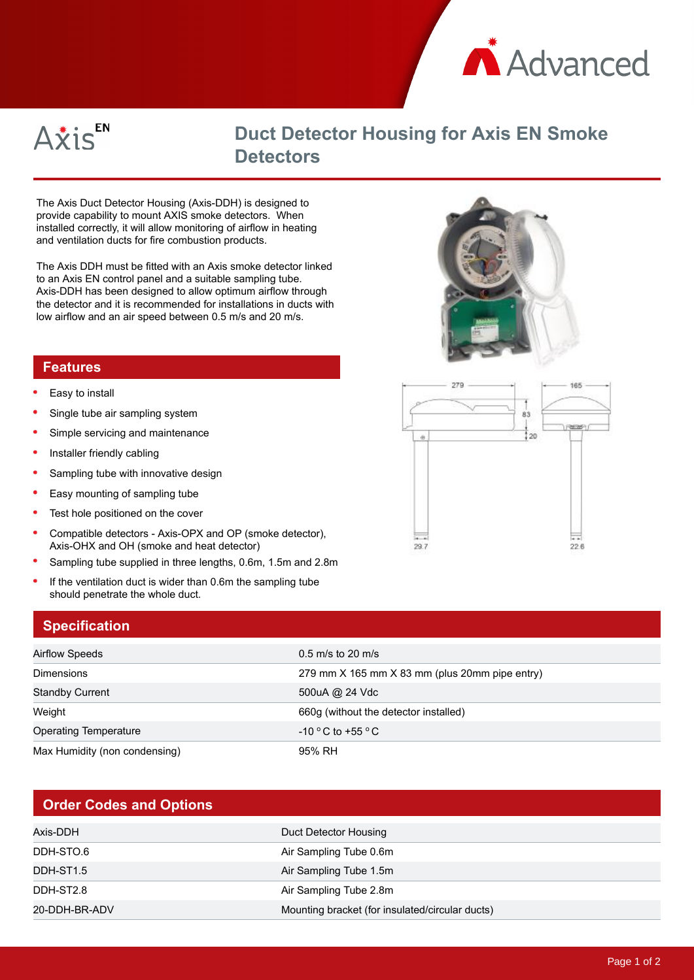



## **Duct Detector Housing for Axis EN Smoke Detectors**

The Axis Duct Detector Housing (Axis-DDH) is designed to provide capability to mount AXIS smoke detectors. When installed correctly, it will allow monitoring of airflow in heating and ventilation ducts for fire combustion products.

The Axis DDH must be fitted with an Axis smoke detector linked to an Axis EN control panel and a suitable sampling tube. Axis-DDH has been designed to allow optimum airflow through the detector and it is recommended for installations in ducts with low airflow and an air speed between 0.5 m/s and 20 m/s.

## **Features**

- Easy to install
- Single tube air sampling system
- Simple servicing and maintenance
- Installer friendly cabling  $\bullet$
- $\bullet$ Sampling tube with innovative design
- $\bullet$ Easy mounting of sampling tube
- Test hole positioned on the cover
- Compatible detectors Axis-OPX and OP (smoke detector), Axis-OHX and OH (smoke and heat detector)
- $\epsilon$ Sampling tube supplied in three lengths, 0.6m, 1.5m and 2.8m
- $\bullet$ If the ventilation duct is wider than 0.6m the sampling tube should penetrate the whole duct.

## **Specification**

| Airflow Speeds                | $0.5$ m/s to 20 m/s                            |
|-------------------------------|------------------------------------------------|
| <b>Dimensions</b>             | 279 mm X 165 mm X 83 mm (plus 20mm pipe entry) |
| <b>Standby Current</b>        | 500uA @ 24 Vdc                                 |
| Weight                        | 660g (without the detector installed)          |
| <b>Operating Temperature</b>  | $-10$ °C to +55 °C                             |
| Max Humidity (non condensing) | 95% RH                                         |

## **Order Codes and Options**

| Axis-DDH      | Duct Detector Housing                           |
|---------------|-------------------------------------------------|
| DDH-STO.6     | Air Sampling Tube 0.6m                          |
| DDH-ST1.5     | Air Sampling Tube 1.5m                          |
| DDH-ST2.8     | Air Sampling Tube 2.8m                          |
| 20-DDH-BR-ADV | Mounting bracket (for insulated/circular ducts) |